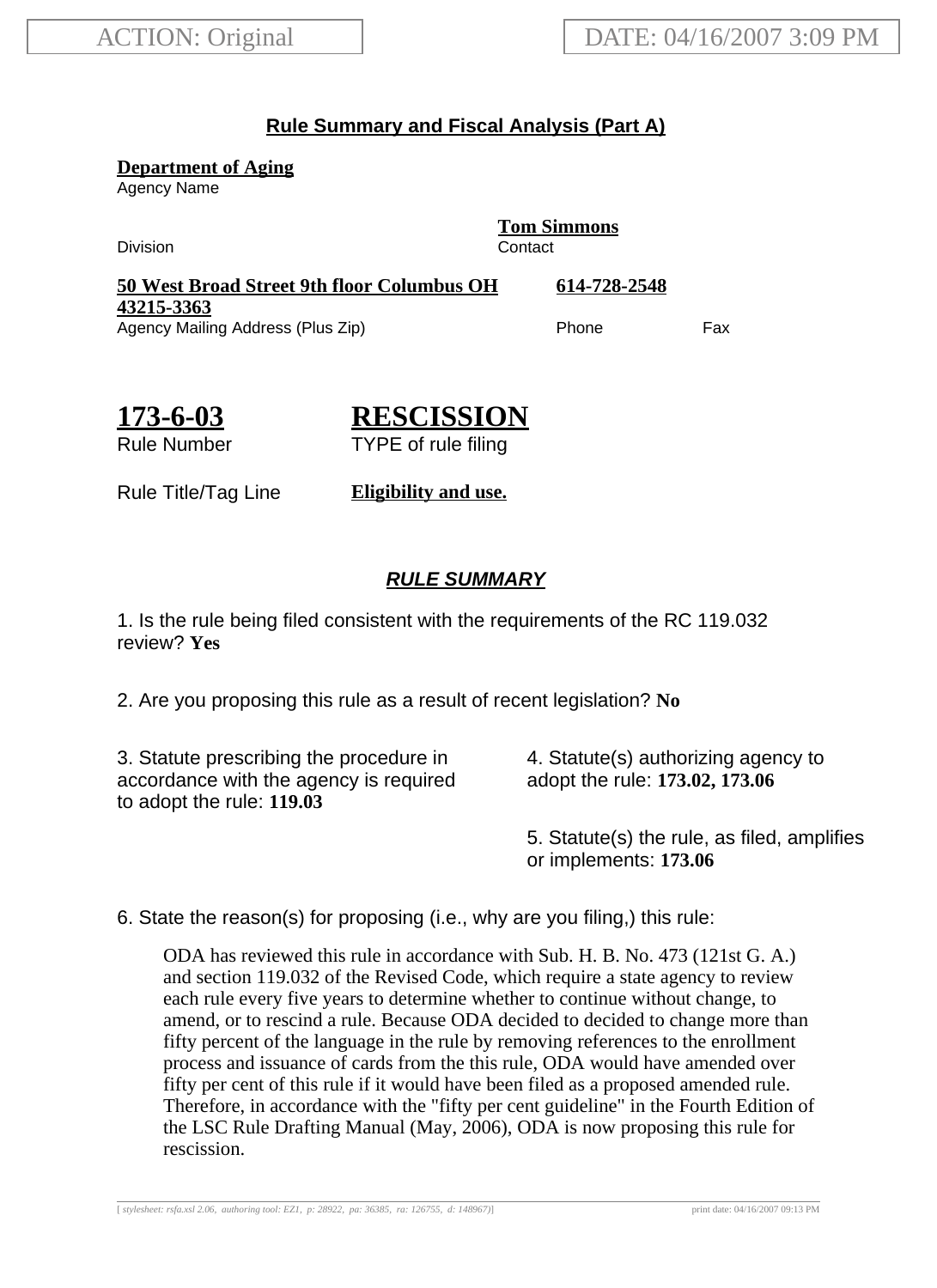## **Rule Summary and Fiscal Analysis (Part A)**

**Department of Aging**

Agency Name

Division Contact

**Tom Simmons**

**50 West Broad Street 9th floor Columbus OH 43215-3363 614-728-2548** Agency Mailing Address (Plus Zip) example and the Phone Fax

**173-6-03**

**RESCISSION**

Rule Number

TYPE of rule filing

Rule Title/Tag Line **Eligibility and use.**

## **RULE SUMMARY**

1. Is the rule being filed consistent with the requirements of the RC 119.032 review? **Yes**

2. Are you proposing this rule as a result of recent legislation? **No**

3. Statute prescribing the procedure in accordance with the agency is required to adopt the rule: **119.03**

4. Statute(s) authorizing agency to adopt the rule: **173.02, 173.06**

5. Statute(s) the rule, as filed, amplifies or implements: **173.06**

6. State the reason(s) for proposing (i.e., why are you filing,) this rule:

ODA has reviewed this rule in accordance with Sub. H. B. No. 473 (121st G. A.) and section 119.032 of the Revised Code, which require a state agency to review each rule every five years to determine whether to continue without change, to amend, or to rescind a rule. Because ODA decided to decided to change more than fifty percent of the language in the rule by removing references to the enrollment process and issuance of cards from the this rule, ODA would have amended over fifty per cent of this rule if it would have been filed as a proposed amended rule. Therefore, in accordance with the "fifty per cent guideline" in the Fourth Edition of the LSC Rule Drafting Manual (May, 2006), ODA is now proposing this rule for rescission.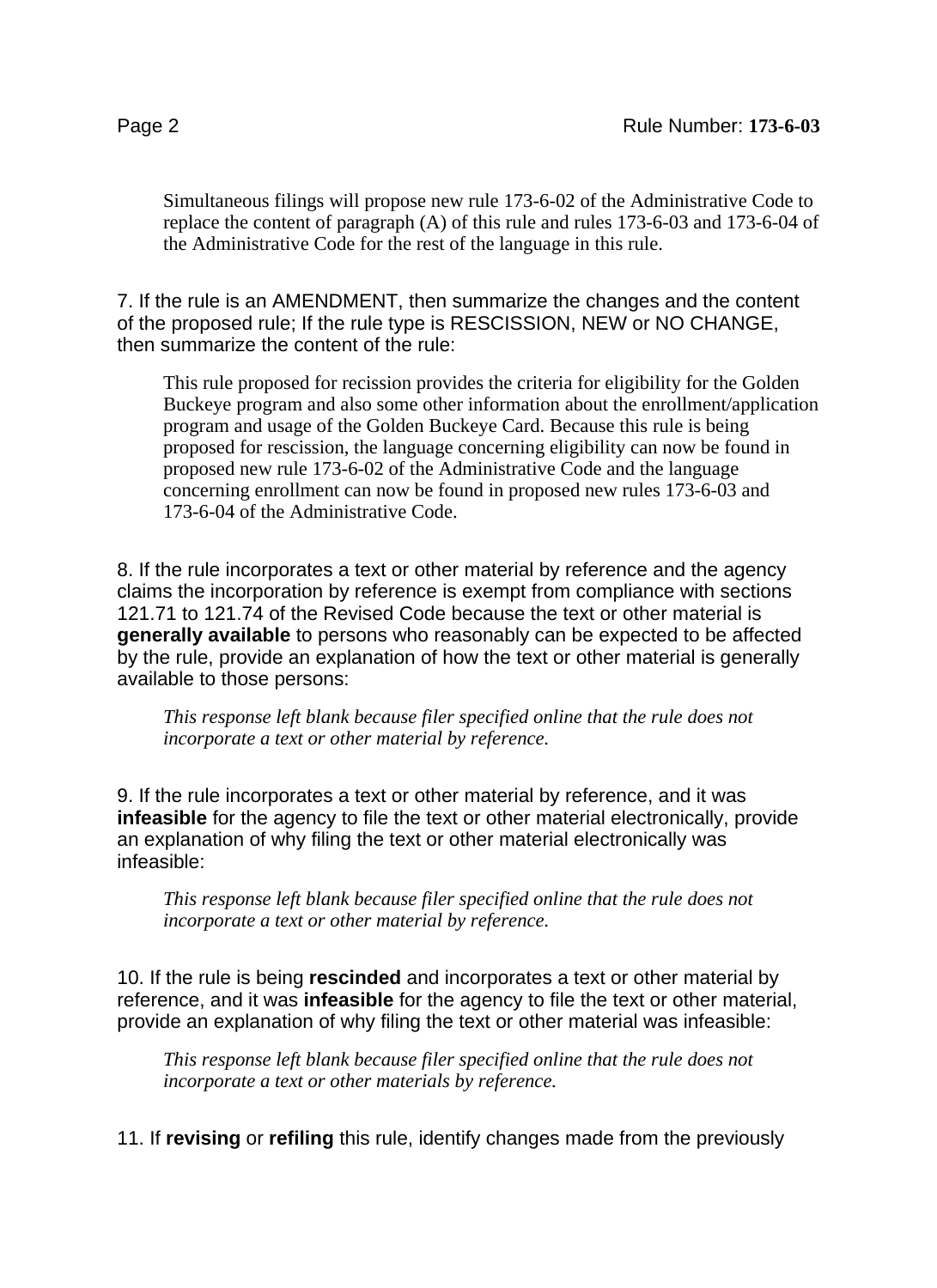Simultaneous filings will propose new rule 173-6-02 of the Administrative Code to replace the content of paragraph (A) of this rule and rules 173-6-03 and 173-6-04 of the Administrative Code for the rest of the language in this rule.

7. If the rule is an AMENDMENT, then summarize the changes and the content of the proposed rule; If the rule type is RESCISSION, NEW or NO CHANGE, then summarize the content of the rule:

This rule proposed for recission provides the criteria for eligibility for the Golden Buckeye program and also some other information about the enrollment/application program and usage of the Golden Buckeye Card. Because this rule is being proposed for rescission, the language concerning eligibility can now be found in proposed new rule 173-6-02 of the Administrative Code and the language concerning enrollment can now be found in proposed new rules 173-6-03 and 173-6-04 of the Administrative Code.

8. If the rule incorporates a text or other material by reference and the agency claims the incorporation by reference is exempt from compliance with sections 121.71 to 121.74 of the Revised Code because the text or other material is **generally available** to persons who reasonably can be expected to be affected by the rule, provide an explanation of how the text or other material is generally available to those persons:

*This response left blank because filer specified online that the rule does not incorporate a text or other material by reference.*

9. If the rule incorporates a text or other material by reference, and it was **infeasible** for the agency to file the text or other material electronically, provide an explanation of why filing the text or other material electronically was infeasible:

*This response left blank because filer specified online that the rule does not incorporate a text or other material by reference.*

10. If the rule is being **rescinded** and incorporates a text or other material by reference, and it was **infeasible** for the agency to file the text or other material, provide an explanation of why filing the text or other material was infeasible:

*This response left blank because filer specified online that the rule does not incorporate a text or other materials by reference.*

11. If **revising** or **refiling** this rule, identify changes made from the previously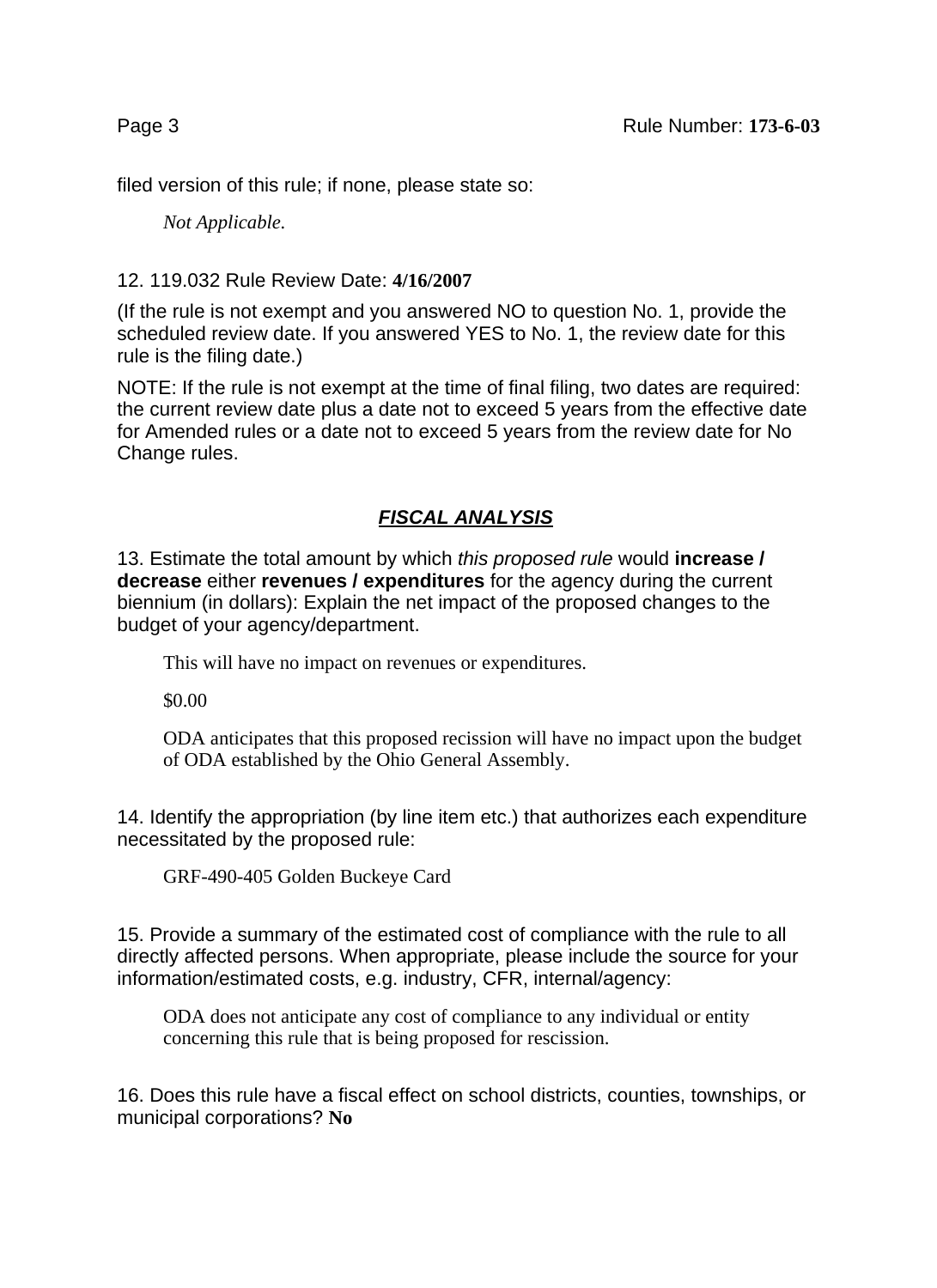filed version of this rule; if none, please state so:

*Not Applicable.*

## 12. 119.032 Rule Review Date: **4/16/2007**

(If the rule is not exempt and you answered NO to question No. 1, provide the scheduled review date. If you answered YES to No. 1, the review date for this rule is the filing date.)

NOTE: If the rule is not exempt at the time of final filing, two dates are required: the current review date plus a date not to exceed 5 years from the effective date for Amended rules or a date not to exceed 5 years from the review date for No Change rules.

## **FISCAL ANALYSIS**

13. Estimate the total amount by which this proposed rule would **increase / decrease** either **revenues / expenditures** for the agency during the current biennium (in dollars): Explain the net impact of the proposed changes to the budget of your agency/department.

This will have no impact on revenues or expenditures.

\$0.00

ODA anticipates that this proposed recission will have no impact upon the budget of ODA established by the Ohio General Assembly.

14. Identify the appropriation (by line item etc.) that authorizes each expenditure necessitated by the proposed rule:

GRF-490-405 Golden Buckeye Card

15. Provide a summary of the estimated cost of compliance with the rule to all directly affected persons. When appropriate, please include the source for your information/estimated costs, e.g. industry, CFR, internal/agency:

ODA does not anticipate any cost of compliance to any individual or entity concerning this rule that is being proposed for rescission.

16. Does this rule have a fiscal effect on school districts, counties, townships, or municipal corporations? **No**